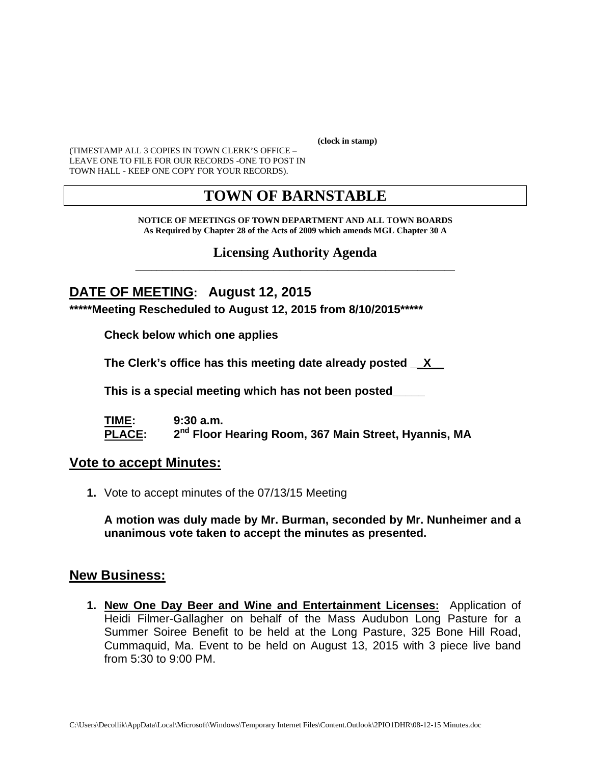**(clock in stamp)** 

(TIMESTAMP ALL 3 COPIES IN TOWN CLERK'S OFFICE – LEAVE ONE TO FILE FOR OUR RECORDS -ONE TO POST IN TOWN HALL - KEEP ONE COPY FOR YOUR RECORDS).

# **TOWN OF BARNSTABLE**

**NOTICE OF MEETINGS OF TOWN DEPARTMENT AND ALL TOWN BOARDS As Required by Chapter 28 of the Acts of 2009 which amends MGL Chapter 30 A** 

### **Licensing Authority Agenda** \_\_\_\_\_\_\_\_\_\_\_\_\_\_\_\_\_\_\_\_\_\_\_\_\_\_\_\_\_\_\_\_\_\_\_\_\_\_\_\_\_\_\_\_\_\_\_\_\_\_\_\_\_\_\_\_\_\_\_\_

# **DATE OF MEETING: August 12, 2015**

**\*\*\*\*\*Meeting Rescheduled to August 12, 2015 from 8/10/2015\*\*\*\*\*** 

**Check below which one applies** 

**The Clerk's office has this meeting date already posted \_\_X\_\_** 

 **This is a special meeting which has not been posted\_\_\_\_\_** 

**TIME: 9:30 a.m.**  PLACE: 2<sup>nd</sup> Floor Hearing Room, 367 Main Street, Hyannis, MA

## **Vote to accept Minutes:**

**1.** Vote to accept minutes of the 07/13/15 Meeting

**A motion was duly made by Mr. Burman, seconded by Mr. Nunheimer and a unanimous vote taken to accept the minutes as presented.**

## **New Business:**

**1. New One Day Beer and Wine and Entertainment Licenses:** Application of Heidi Filmer-Gallagher on behalf of the Mass Audubon Long Pasture for a Summer Soiree Benefit to be held at the Long Pasture, 325 Bone Hill Road, Cummaquid, Ma. Event to be held on August 13, 2015 with 3 piece live band from 5:30 to 9:00 PM.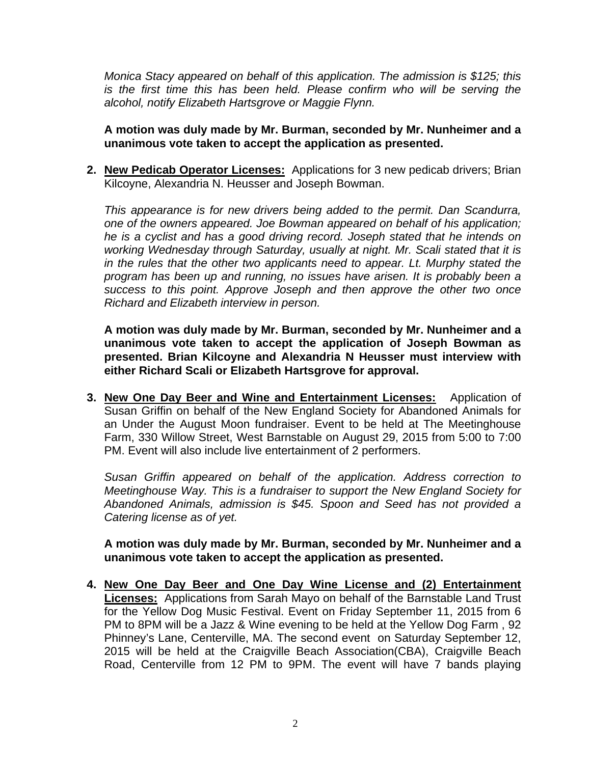*Monica Stacy appeared on behalf of this application. The admission is \$125; this*  is the first time this has been held. Please confirm who will be serving the *alcohol, notify Elizabeth Hartsgrove or Maggie Flynn.*

**A motion was duly made by Mr. Burman, seconded by Mr. Nunheimer and a unanimous vote taken to accept the application as presented.**

**2. New Pedicab Operator Licenses:** Applications for 3 new pedicab drivers; Brian Kilcoyne, Alexandria N. Heusser and Joseph Bowman.

*This appearance is for new drivers being added to the permit. Dan Scandurra, one of the owners appeared. Joe Bowman appeared on behalf of his application; he is a cyclist and has a good driving record. Joseph stated that he intends on working Wednesday through Saturday, usually at night. Mr. Scali stated that it is in the rules that the other two applicants need to appear. Lt. Murphy stated the program has been up and running, no issues have arisen. It is probably been a success to this point. Approve Joseph and then approve the other two once Richard and Elizabeth interview in person.* 

**A motion was duly made by Mr. Burman, seconded by Mr. Nunheimer and a unanimous vote taken to accept the application of Joseph Bowman as presented. Brian Kilcoyne and Alexandria N Heusser must interview with either Richard Scali or Elizabeth Hartsgrove for approval.** 

**3. New One Day Beer and Wine and Entertainment Licenses:** Application of Susan Griffin on behalf of the New England Society for Abandoned Animals for an Under the August Moon fundraiser. Event to be held at The Meetinghouse Farm, 330 Willow Street, West Barnstable on August 29, 2015 from 5:00 to 7:00 PM. Event will also include live entertainment of 2 performers.

*Susan Griffin appeared on behalf of the application. Address correction to Meetinghouse Way. This is a fundraiser to support the New England Society for Abandoned Animals, admission is \$45. Spoon and Seed has not provided a Catering license as of yet.* 

**A motion was duly made by Mr. Burman, seconded by Mr. Nunheimer and a unanimous vote taken to accept the application as presented.**

**4. New One Day Beer and One Day Wine License and (2) Entertainment Licenses:** Applications from Sarah Mayo on behalf of the Barnstable Land Trust for the Yellow Dog Music Festival. Event on Friday September 11, 2015 from 6 PM to 8PM will be a Jazz & Wine evening to be held at the Yellow Dog Farm , 92 Phinney's Lane, Centerville, MA. The second event on Saturday September 12, 2015 will be held at the Craigville Beach Association(CBA), Craigville Beach Road, Centerville from 12 PM to 9PM. The event will have 7 bands playing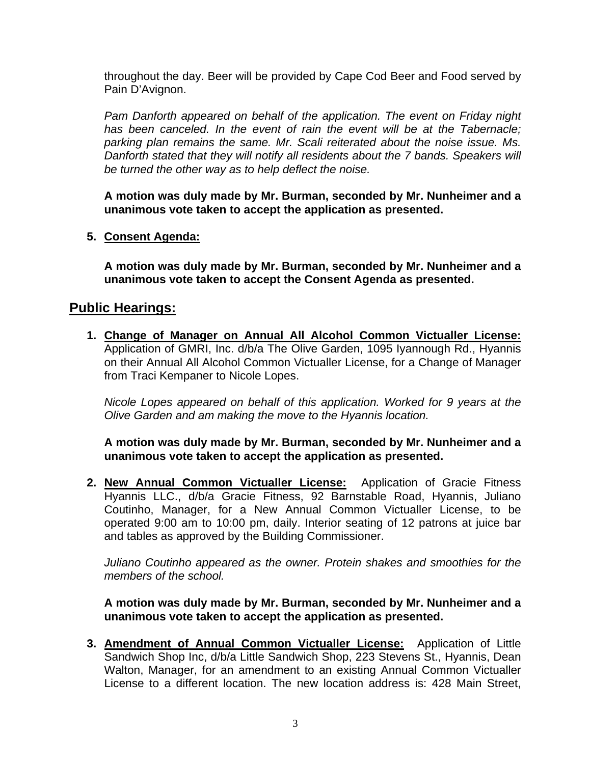throughout the day. Beer will be provided by Cape Cod Beer and Food served by Pain D'Avignon.

*Pam Danforth appeared on behalf of the application. The event on Friday night*  has been canceled. In the event of rain the event will be at the Tabernacle; *parking plan remains the same. Mr. Scali reiterated about the noise issue. Ms. Danforth stated that they will notify all residents about the 7 bands. Speakers will be turned the other way as to help deflect the noise.* 

**A motion was duly made by Mr. Burman, seconded by Mr. Nunheimer and a unanimous vote taken to accept the application as presented.**

## **5. Consent Agenda:**

**A motion was duly made by Mr. Burman, seconded by Mr. Nunheimer and a unanimous vote taken to accept the Consent Agenda as presented.** 

## **Public Hearings:**

**1. Change of Manager on Annual All Alcohol Common Victualler License:** Application of GMRI, Inc. d/b/a The Olive Garden, 1095 Iyannough Rd., Hyannis on their Annual All Alcohol Common Victualler License, for a Change of Manager from Traci Kempaner to Nicole Lopes.

*Nicole Lopes appeared on behalf of this application. Worked for 9 years at the Olive Garden and am making the move to the Hyannis location.* 

**A motion was duly made by Mr. Burman, seconded by Mr. Nunheimer and a unanimous vote taken to accept the application as presented.**

**2. New Annual Common Victualler License:** Application of Gracie Fitness Hyannis LLC., d/b/a Gracie Fitness, 92 Barnstable Road, Hyannis, Juliano Coutinho, Manager, for a New Annual Common Victualler License, to be operated 9:00 am to 10:00 pm, daily. Interior seating of 12 patrons at juice bar and tables as approved by the Building Commissioner.

*Juliano Coutinho appeared as the owner. Protein shakes and smoothies for the members of the school.* 

**A motion was duly made by Mr. Burman, seconded by Mr. Nunheimer and a unanimous vote taken to accept the application as presented.**

**3. Amendment of Annual Common Victualler License:** Application of Little Sandwich Shop Inc, d/b/a Little Sandwich Shop, 223 Stevens St., Hyannis, Dean Walton, Manager, for an amendment to an existing Annual Common Victualler License to a different location. The new location address is: 428 Main Street,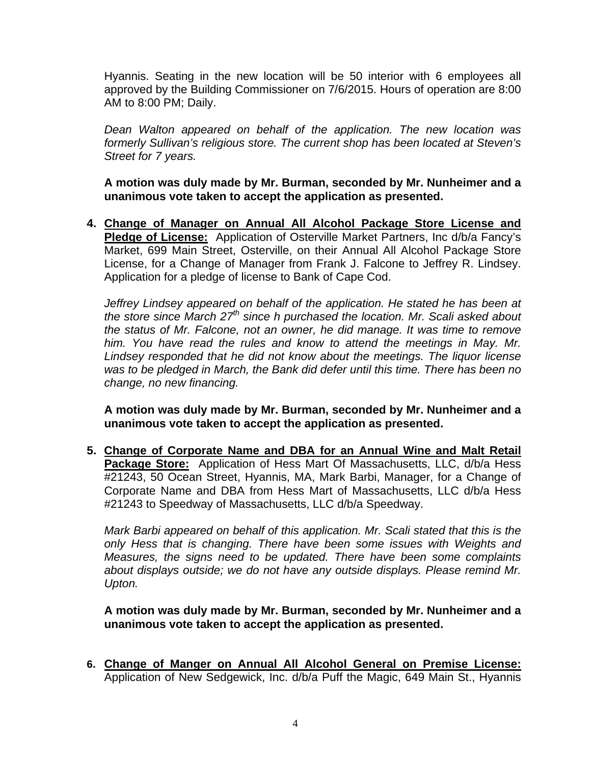Hyannis. Seating in the new location will be 50 interior with 6 employees all approved by the Building Commissioner on 7/6/2015. Hours of operation are 8:00 AM to 8:00 PM; Daily.

*Dean Walton appeared on behalf of the application. The new location was formerly Sullivan's religious store. The current shop has been located at Steven's Street for 7 years.* 

**A motion was duly made by Mr. Burman, seconded by Mr. Nunheimer and a unanimous vote taken to accept the application as presented.**

**4. Change of Manager on Annual All Alcohol Package Store License and Pledge of License:** Application of Osterville Market Partners, Inc d/b/a Fancy's Market, 699 Main Street, Osterville, on their Annual All Alcohol Package Store License, for a Change of Manager from Frank J. Falcone to Jeffrey R. Lindsey. Application for a pledge of license to Bank of Cape Cod.

*Jeffrey Lindsey appeared on behalf of the application. He stated he has been at the store since March 27th since h purchased the location. Mr. Scali asked about the status of Mr. Falcone, not an owner, he did manage. It was time to remove him. You have read the rules and know to attend the meetings in May. Mr. Lindsey responded that he did not know about the meetings. The liquor license was to be pledged in March, the Bank did defer until this time. There has been no change, no new financing.* 

**A motion was duly made by Mr. Burman, seconded by Mr. Nunheimer and a unanimous vote taken to accept the application as presented.**

**5. Change of Corporate Name and DBA for an Annual Wine and Malt Retail Package Store:** Application of Hess Mart Of Massachusetts, LLC, d/b/a Hess #21243, 50 Ocean Street, Hyannis, MA, Mark Barbi, Manager, for a Change of Corporate Name and DBA from Hess Mart of Massachusetts, LLC d/b/a Hess #21243 to Speedway of Massachusetts, LLC d/b/a Speedway.

*Mark Barbi appeared on behalf of this application. Mr. Scali stated that this is the only Hess that is changing. There have been some issues with Weights and Measures, the signs need to be updated. There have been some complaints about displays outside; we do not have any outside displays. Please remind Mr. Upton.* 

**A motion was duly made by Mr. Burman, seconded by Mr. Nunheimer and a unanimous vote taken to accept the application as presented.**

**6. Change of Manger on Annual All Alcohol General on Premise License:** Application of New Sedgewick, Inc. d/b/a Puff the Magic, 649 Main St., Hyannis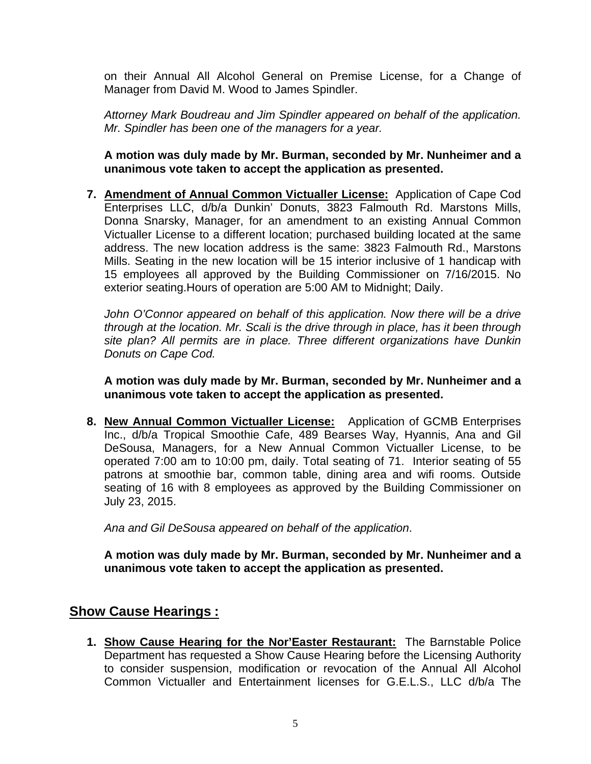on their Annual All Alcohol General on Premise License, for a Change of Manager from David M. Wood to James Spindler.

*Attorney Mark Boudreau and Jim Spindler appeared on behalf of the application. Mr. Spindler has been one of the managers for a year.* 

## **A motion was duly made by Mr. Burman, seconded by Mr. Nunheimer and a unanimous vote taken to accept the application as presented.**

**7. Amendment of Annual Common Victualler License:** Application of Cape Cod Enterprises LLC, d/b/a Dunkin' Donuts, 3823 Falmouth Rd. Marstons Mills, Donna Snarsky, Manager, for an amendment to an existing Annual Common Victualler License to a different location; purchased building located at the same address. The new location address is the same: 3823 Falmouth Rd., Marstons Mills. Seating in the new location will be 15 interior inclusive of 1 handicap with 15 employees all approved by the Building Commissioner on 7/16/2015. No exterior seating.Hours of operation are 5:00 AM to Midnight; Daily.

John O'Connor appeared on behalf of this application. Now there will be a drive *through at the location. Mr. Scali is the drive through in place, has it been through site plan? All permits are in place. Three different organizations have Dunkin Donuts on Cape Cod.* 

**A motion was duly made by Mr. Burman, seconded by Mr. Nunheimer and a unanimous vote taken to accept the application as presented.**

**8. New Annual Common Victualler License:** Application of GCMB Enterprises Inc., d/b/a Tropical Smoothie Cafe, 489 Bearses Way, Hyannis, Ana and Gil DeSousa, Managers, for a New Annual Common Victualler License, to be operated 7:00 am to 10:00 pm, daily. Total seating of 71. Interior seating of 55 patrons at smoothie bar, common table, dining area and wifi rooms. Outside seating of 16 with 8 employees as approved by the Building Commissioner on July 23, 2015.

*Ana and Gil DeSousa appeared on behalf of the application*.

**A motion was duly made by Mr. Burman, seconded by Mr. Nunheimer and a unanimous vote taken to accept the application as presented.**

# **Show Cause Hearings :**

**1. Show Cause Hearing for the Nor'Easter Restaurant:** The Barnstable Police Department has requested a Show Cause Hearing before the Licensing Authority to consider suspension, modification or revocation of the Annual All Alcohol Common Victualler and Entertainment licenses for G.E.L.S., LLC d/b/a The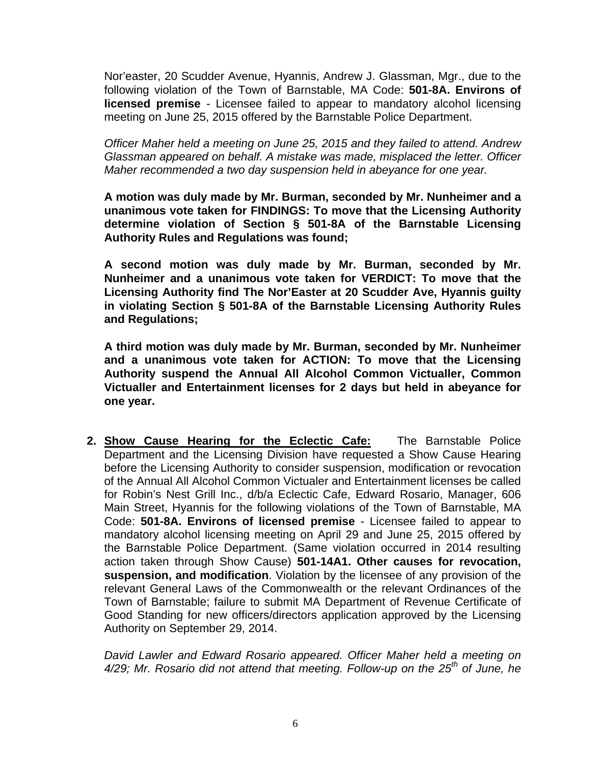Nor'easter, 20 Scudder Avenue, Hyannis, Andrew J. Glassman, Mgr., due to the following violation of the Town of Barnstable, MA Code: **501-8A. Environs of licensed premise** - Licensee failed to appear to mandatory alcohol licensing meeting on June 25, 2015 offered by the Barnstable Police Department.

*Officer Maher held a meeting on June 25, 2015 and they failed to attend. Andrew Glassman appeared on behalf. A mistake was made, misplaced the letter. Officer Maher recommended a two day suspension held in abeyance for one year.* 

**A motion was duly made by Mr. Burman, seconded by Mr. Nunheimer and a unanimous vote taken for FINDINGS: To move that the Licensing Authority determine violation of Section § 501-8A of the Barnstable Licensing Authority Rules and Regulations was found;** 

**A second motion was duly made by Mr. Burman, seconded by Mr. Nunheimer and a unanimous vote taken for VERDICT: To move that the Licensing Authority find The Nor'Easter at 20 Scudder Ave, Hyannis guilty in violating Section § 501-8A of the Barnstable Licensing Authority Rules and Regulations;** 

**A third motion was duly made by Mr. Burman, seconded by Mr. Nunheimer and a unanimous vote taken for ACTION: To move that the Licensing Authority suspend the Annual All Alcohol Common Victualler, Common Victualler and Entertainment licenses for 2 days but held in abeyance for one year.** 

**2. Show Cause Hearing for the Eclectic Cafe:** The Barnstable Police Department and the Licensing Division have requested a Show Cause Hearing before the Licensing Authority to consider suspension, modification or revocation of the Annual All Alcohol Common Victualer and Entertainment licenses be called for Robin's Nest Grill Inc., d/b/a Eclectic Cafe, Edward Rosario, Manager, 606 Main Street, Hyannis for the following violations of the Town of Barnstable, MA Code: **501-8A. Environs of licensed premise** - Licensee failed to appear to mandatory alcohol licensing meeting on April 29 and June 25, 2015 offered by the Barnstable Police Department. (Same violation occurred in 2014 resulting action taken through Show Cause) **501-14A1. Other causes for revocation, suspension, and modification**. Violation by the licensee of any provision of the relevant General Laws of the Commonwealth or the relevant Ordinances of the Town of Barnstable; failure to submit MA Department of Revenue Certificate of Good Standing for new officers/directors application approved by the Licensing Authority on September 29, 2014.

*David Lawler and Edward Rosario appeared. Officer Maher held a meeting on 4/29; Mr. Rosario did not attend that meeting. Follow-up on the 25th of June, he*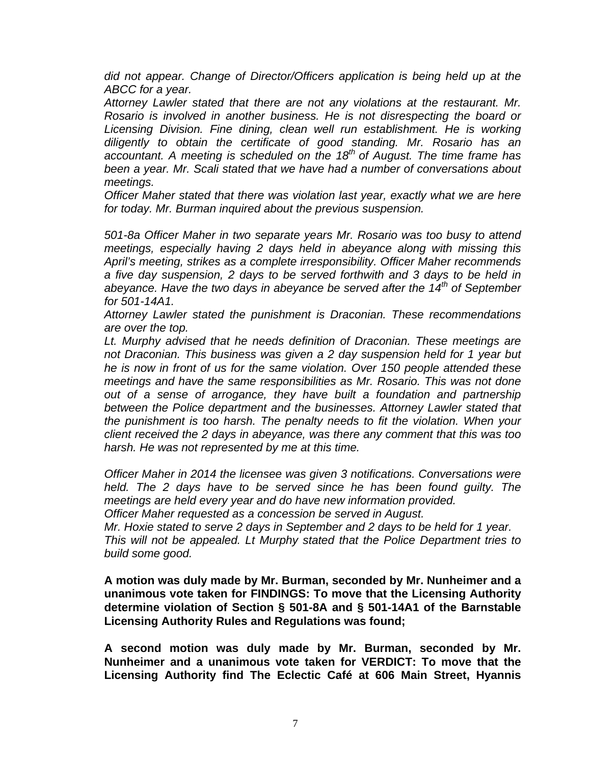*did not appear. Change of Director/Officers application is being held up at the ABCC for a year.* 

*Attorney Lawler stated that there are not any violations at the restaurant. Mr. Rosario is involved in another business. He is not disrespecting the board or Licensing Division. Fine dining, clean well run establishment. He is working diligently to obtain the certificate of good standing. Mr. Rosario has an accountant. A meeting is scheduled on the 18th of August. The time frame has been a year. Mr. Scali stated that we have had a number of conversations about meetings.* 

*Officer Maher stated that there was violation last year, exactly what we are here for today. Mr. Burman inquired about the previous suspension.* 

*501-8a Officer Maher in two separate years Mr. Rosario was too busy to attend meetings, especially having 2 days held in abeyance along with missing this April's meeting, strikes as a complete irresponsibility. Officer Maher recommends a five day suspension, 2 days to be served forthwith and 3 days to be held in abeyance. Have the two days in abeyance be served after the 14th of September for 501-14A1.* 

*Attorney Lawler stated the punishment is Draconian. These recommendations are over the top.* 

*Lt. Murphy advised that he needs definition of Draconian. These meetings are not Draconian. This business was given a 2 day suspension held for 1 year but he is now in front of us for the same violation. Over 150 people attended these meetings and have the same responsibilities as Mr. Rosario. This was not done out of a sense of arrogance, they have built a foundation and partnership between the Police department and the businesses. Attorney Lawler stated that the punishment is too harsh. The penalty needs to fit the violation. When your client received the 2 days in abeyance, was there any comment that this was too harsh. He was not represented by me at this time.* 

*Officer Maher in 2014 the licensee was given 3 notifications. Conversations were held. The 2 days have to be served since he has been found guilty. The meetings are held every year and do have new information provided.* 

*Officer Maher requested as a concession be served in August.* 

*Mr. Hoxie stated to serve 2 days in September and 2 days to be held for 1 year. This will not be appealed. Lt Murphy stated that the Police Department tries to build some good.* 

**A motion was duly made by Mr. Burman, seconded by Mr. Nunheimer and a unanimous vote taken for FINDINGS: To move that the Licensing Authority determine violation of Section § 501-8A and § 501-14A1 of the Barnstable Licensing Authority Rules and Regulations was found;** 

**A second motion was duly made by Mr. Burman, seconded by Mr. Nunheimer and a unanimous vote taken for VERDICT: To move that the Licensing Authority find The Eclectic Café at 606 Main Street, Hyannis**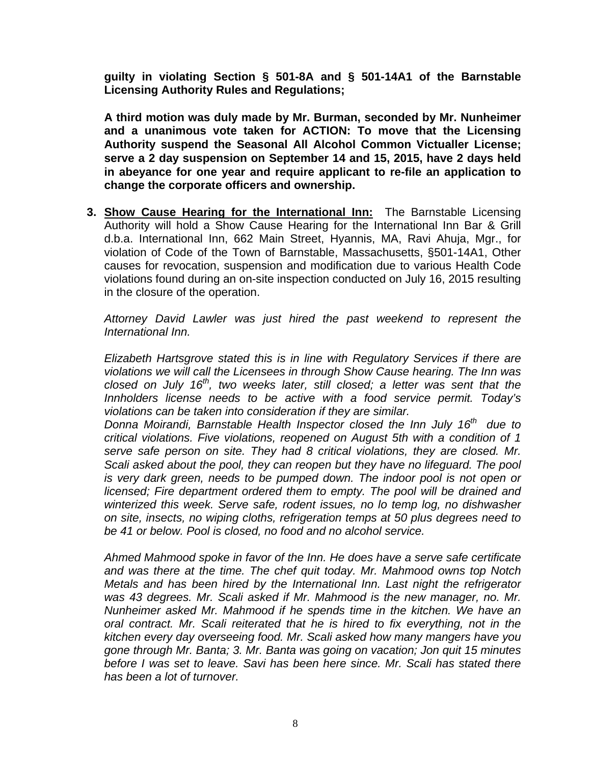**guilty in violating Section § 501-8A and § 501-14A1 of the Barnstable Licensing Authority Rules and Regulations;** 

**A third motion was duly made by Mr. Burman, seconded by Mr. Nunheimer and a unanimous vote taken for ACTION: To move that the Licensing Authority suspend the Seasonal All Alcohol Common Victualler License; serve a 2 day suspension on September 14 and 15, 2015, have 2 days held in abeyance for one year and require applicant to re-file an application to change the corporate officers and ownership.** 

**3. Show Cause Hearing for the International Inn:** The Barnstable Licensing Authority will hold a Show Cause Hearing for the International Inn Bar & Grill d.b.a. International Inn, 662 Main Street, Hyannis, MA, Ravi Ahuja, Mgr., for violation of Code of the Town of Barnstable, Massachusetts, §501-14A1, Other causes for revocation, suspension and modification due to various Health Code violations found during an on-site inspection conducted on July 16, 2015 resulting in the closure of the operation.

*Attorney David Lawler was just hired the past weekend to represent the International Inn.* 

*Elizabeth Hartsgrove stated this is in line with Regulatory Services if there are violations we will call the Licensees in through Show Cause hearing. The Inn was closed on July 16th, two weeks later, still closed; a letter was sent that the Innholders license needs to be active with a food service permit. Today's violations can be taken into consideration if they are similar.* 

*Donna Moirandi, Barnstable Health Inspector closed the Inn July 16th due to critical violations. Five violations, reopened on August 5th with a condition of 1 serve safe person on site. They had 8 critical violations, they are closed. Mr. Scali asked about the pool, they can reopen but they have no lifeguard. The pool is very dark green, needs to be pumped down. The indoor pool is not open or licensed; Fire department ordered them to empty. The pool will be drained and winterized this week. Serve safe, rodent issues, no lo temp log, no dishwasher on site, insects, no wiping cloths, refrigeration temps at 50 plus degrees need to be 41 or below. Pool is closed, no food and no alcohol service.* 

*Ahmed Mahmood spoke in favor of the Inn. He does have a serve safe certificate and was there at the time. The chef quit today. Mr. Mahmood owns top Notch Metals and has been hired by the International Inn. Last night the refrigerator was 43 degrees. Mr. Scali asked if Mr. Mahmood is the new manager, no. Mr. Nunheimer asked Mr. Mahmood if he spends time in the kitchen. We have an oral contract. Mr. Scali reiterated that he is hired to fix everything, not in the kitchen every day overseeing food. Mr. Scali asked how many mangers have you gone through Mr. Banta; 3. Mr. Banta was going on vacation; Jon quit 15 minutes before I was set to leave. Savi has been here since. Mr. Scali has stated there has been a lot of turnover.*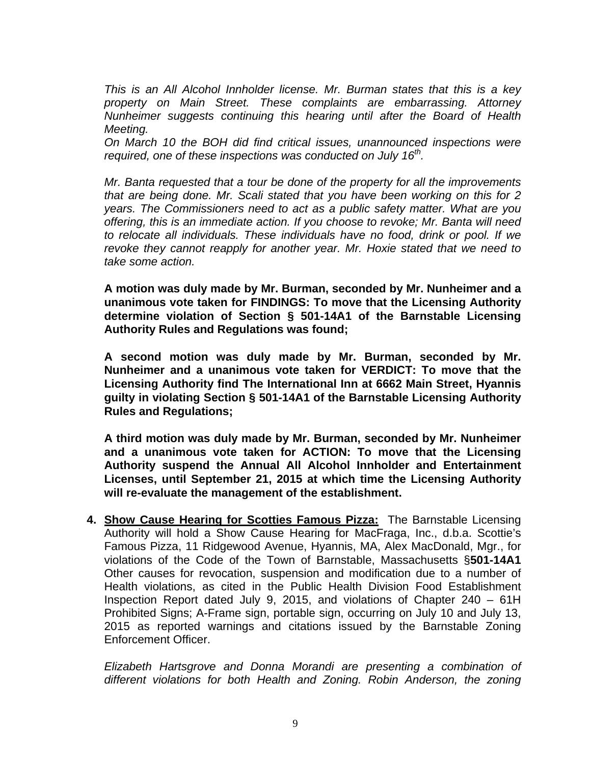*This is an All Alcohol Innholder license. Mr. Burman states that this is a key property on Main Street. These complaints are embarrassing. Attorney Nunheimer suggests continuing this hearing until after the Board of Health Meeting.* 

*On March 10 the BOH did find critical issues, unannounced inspections were required, one of these inspections was conducted on July 16<sup>th</sup>.* 

*Mr. Banta requested that a tour be done of the property for all the improvements that are being done. Mr. Scali stated that you have been working on this for 2 years. The Commissioners need to act as a public safety matter. What are you offering, this is an immediate action. If you choose to revoke; Mr. Banta will need to relocate all individuals. These individuals have no food, drink or pool. If we revoke they cannot reapply for another year. Mr. Hoxie stated that we need to take some action.* 

**A motion was duly made by Mr. Burman, seconded by Mr. Nunheimer and a unanimous vote taken for FINDINGS: To move that the Licensing Authority determine violation of Section § 501-14A1 of the Barnstable Licensing Authority Rules and Regulations was found;** 

**A second motion was duly made by Mr. Burman, seconded by Mr. Nunheimer and a unanimous vote taken for VERDICT: To move that the Licensing Authority find The International Inn at 6662 Main Street, Hyannis guilty in violating Section § 501-14A1 of the Barnstable Licensing Authority Rules and Regulations;** 

**A third motion was duly made by Mr. Burman, seconded by Mr. Nunheimer and a unanimous vote taken for ACTION: To move that the Licensing Authority suspend the Annual All Alcohol Innholder and Entertainment Licenses, until September 21, 2015 at which time the Licensing Authority will re-evaluate the management of the establishment.**

**4. Show Cause Hearing for Scotties Famous Pizza:** The Barnstable Licensing Authority will hold a Show Cause Hearing for MacFraga, Inc., d.b.a. Scottie's Famous Pizza, 11 Ridgewood Avenue, Hyannis, MA, Alex MacDonald, Mgr., for violations of the Code of the Town of Barnstable, Massachusetts §**501-14A1** Other causes for revocation, suspension and modification due to a number of Health violations, as cited in the Public Health Division Food Establishment Inspection Report dated July 9, 2015, and violations of Chapter 240 – 61H Prohibited Signs; A-Frame sign, portable sign, occurring on July 10 and July 13, 2015 as reported warnings and citations issued by the Barnstable Zoning Enforcement Officer.

*Elizabeth Hartsgrove and Donna Morandi are presenting a combination of different violations for both Health and Zoning. Robin Anderson, the zoning*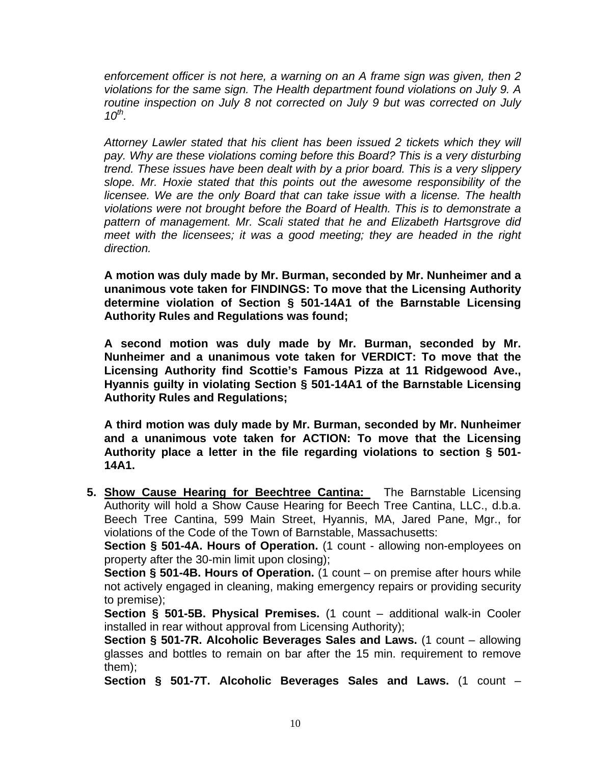*enforcement officer is not here, a warning on an A frame sign was given, then 2 violations for the same sign. The Health department found violations on July 9. A routine inspection on July 8 not corrected on July 9 but was corrected on July 10th.* 

*Attorney Lawler stated that his client has been issued 2 tickets which they will*  pay. Why are these violations coming before this Board? This is a very disturbing *trend. These issues have been dealt with by a prior board. This is a very slippery slope. Mr. Hoxie stated that this points out the awesome responsibility of the licensee. We are the only Board that can take issue with a license. The health violations were not brought before the Board of Health. This is to demonstrate a pattern of management. Mr. Scali stated that he and Elizabeth Hartsgrove did meet with the licensees; it was a good meeting; they are headed in the right direction.* 

**A motion was duly made by Mr. Burman, seconded by Mr. Nunheimer and a unanimous vote taken for FINDINGS: To move that the Licensing Authority determine violation of Section § 501-14A1 of the Barnstable Licensing Authority Rules and Regulations was found;** 

**A second motion was duly made by Mr. Burman, seconded by Mr. Nunheimer and a unanimous vote taken for VERDICT: To move that the Licensing Authority find Scottie's Famous Pizza at 11 Ridgewood Ave., Hyannis guilty in violating Section § 501-14A1 of the Barnstable Licensing Authority Rules and Regulations;** 

**A third motion was duly made by Mr. Burman, seconded by Mr. Nunheimer and a unanimous vote taken for ACTION: To move that the Licensing Authority place a letter in the file regarding violations to section § 501- 14A1.** 

**5. Show Cause Hearing for Beechtree Cantina:** The Barnstable Licensing Authority will hold a Show Cause Hearing for Beech Tree Cantina, LLC., d.b.a. Beech Tree Cantina, 599 Main Street, Hyannis, MA, Jared Pane, Mgr., for violations of the Code of the Town of Barnstable, Massachusetts:

**Section § 501-4A. Hours of Operation.** (1 count - allowing non-employees on property after the 30-min limit upon closing);

**Section § 501-4B. Hours of Operation.** (1 count – on premise after hours while not actively engaged in cleaning, making emergency repairs or providing security to premise);

**Section § 501-5B. Physical Premises.** (1 count – additional walk-in Cooler installed in rear without approval from Licensing Authority);

**Section § 501-7R. Alcoholic Beverages Sales and Laws.** (1 count – allowing glasses and bottles to remain on bar after the 15 min. requirement to remove them);

**Section § 501-7T. Alcoholic Beverages Sales and Laws.** (1 count –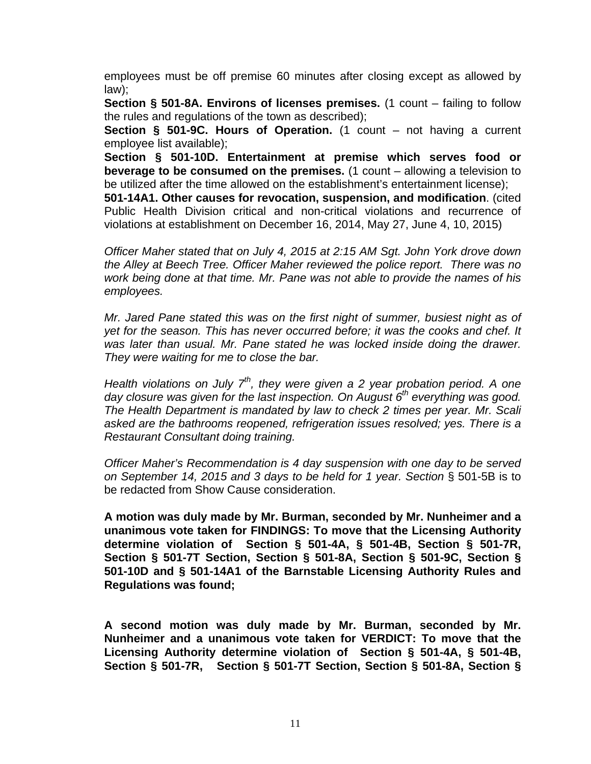employees must be off premise 60 minutes after closing except as allowed by law);

**Section § 501-8A. Environs of licenses premises.** (1 count – failing to follow the rules and regulations of the town as described);

**Section § 501-9C. Hours of Operation.** (1 count – not having a current employee list available);

**Section § 501-10D. Entertainment at premise which serves food or beverage to be consumed on the premises.** (1 count – allowing a television to be utilized after the time allowed on the establishment's entertainment license);

**501-14A1. Other causes for revocation, suspension, and modification**. (cited Public Health Division critical and non-critical violations and recurrence of violations at establishment on December 16, 2014, May 27, June 4, 10, 2015)

*Officer Maher stated that on July 4, 2015 at 2:15 AM Sgt. John York drove down the Alley at Beech Tree. Officer Maher reviewed the police report. There was no work being done at that time. Mr. Pane was not able to provide the names of his employees.* 

*Mr. Jared Pane stated this was on the first night of summer, busiest night as of yet for the season. This has never occurred before; it was the cooks and chef. It was later than usual. Mr. Pane stated he was locked inside doing the drawer. They were waiting for me to close the bar.* 

*Health violations on July 7th, they were given a 2 year probation period. A one*  day closure was given for the last inspection. On August 6<sup>th</sup> everything was good. *The Health Department is mandated by law to check 2 times per year. Mr. Scali asked are the bathrooms reopened, refrigeration issues resolved; yes. There is a Restaurant Consultant doing training.* 

*Officer Maher's Recommendation is 4 day suspension with one day to be served on September 14, 2015 and 3 days to be held for 1 year. Section* § 501-5B is to be redacted from Show Cause consideration.

**A motion was duly made by Mr. Burman, seconded by Mr. Nunheimer and a unanimous vote taken for FINDINGS: To move that the Licensing Authority determine violation of Section § 501-4A, § 501-4B, Section § 501-7R, Section § 501-7T Section, Section § 501-8A, Section § 501-9C, Section § 501-10D and § 501-14A1 of the Barnstable Licensing Authority Rules and Regulations was found;** 

**A second motion was duly made by Mr. Burman, seconded by Mr. Nunheimer and a unanimous vote taken for VERDICT: To move that the Licensing Authority determine violation of Section § 501-4A, § 501-4B, Section § 501-7R, Section § 501-7T Section, Section § 501-8A, Section §**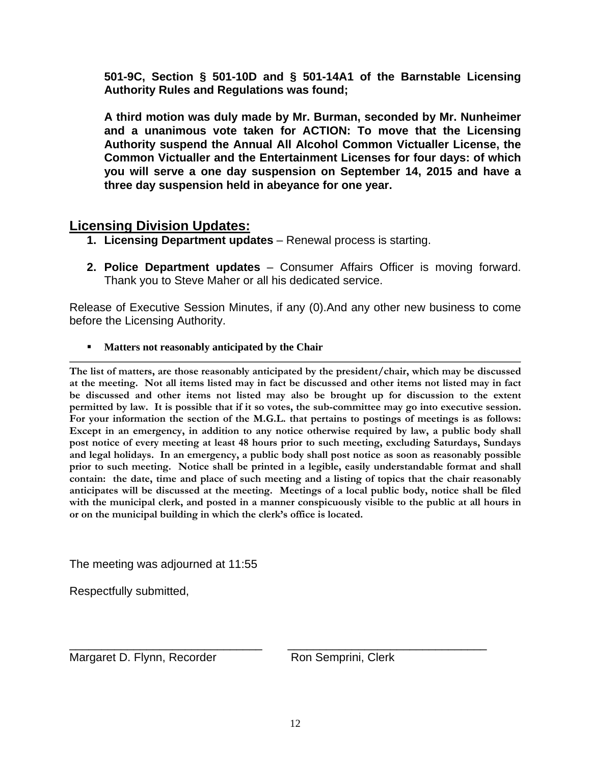**501-9C, Section § 501-10D and § 501-14A1 of the Barnstable Licensing Authority Rules and Regulations was found;** 

**A third motion was duly made by Mr. Burman, seconded by Mr. Nunheimer and a unanimous vote taken for ACTION: To move that the Licensing Authority suspend the Annual All Alcohol Common Victualler License, the Common Victualler and the Entertainment Licenses for four days: of which you will serve a one day suspension on September 14, 2015 and have a three day suspension held in abeyance for one year.** 

# **Licensing Division Updates:**

- **1. Licensing Department updates** Renewal process is starting.
- **2. Police Department updates** Consumer Affairs Officer is moving forward. Thank you to Steve Maher or all his dedicated service.

Release of Executive Session Minutes, if any (0).And any other new business to come before the Licensing Authority.

**Matters not reasonably anticipated by the Chair** 

**The list of matters, are those reasonably anticipated by the president/chair, which may be discussed at the meeting. Not all items listed may in fact be discussed and other items not listed may in fact be discussed and other items not listed may also be brought up for discussion to the extent permitted by law. It is possible that if it so votes, the sub-committee may go into executive session. For your information the section of the M.G.L. that pertains to postings of meetings is as follows: Except in an emergency, in addition to any notice otherwise required by law, a public body shall post notice of every meeting at least 48 hours prior to such meeting, excluding Saturdays, Sundays and legal holidays. In an emergency, a public body shall post notice as soon as reasonably possible prior to such meeting. Notice shall be printed in a legible, easily understandable format and shall contain: the date, time and place of such meeting and a listing of topics that the chair reasonably anticipates will be discussed at the meeting. Meetings of a local public body, notice shall be filed with the municipal clerk, and posted in a manner conspicuously visible to the public at all hours in or on the municipal building in which the clerk's office is located.** 

The meeting was adjourned at 11:55

Respectfully submitted,

\_\_\_\_\_\_\_\_\_\_\_\_\_\_\_\_\_\_\_\_\_\_\_\_\_\_\_\_\_\_ \_\_\_\_\_\_\_\_\_\_\_\_\_\_\_\_\_\_\_\_\_\_\_\_\_\_\_\_\_\_\_ Margaret D. Flynn, Recorder Ron Semprini, Clerk